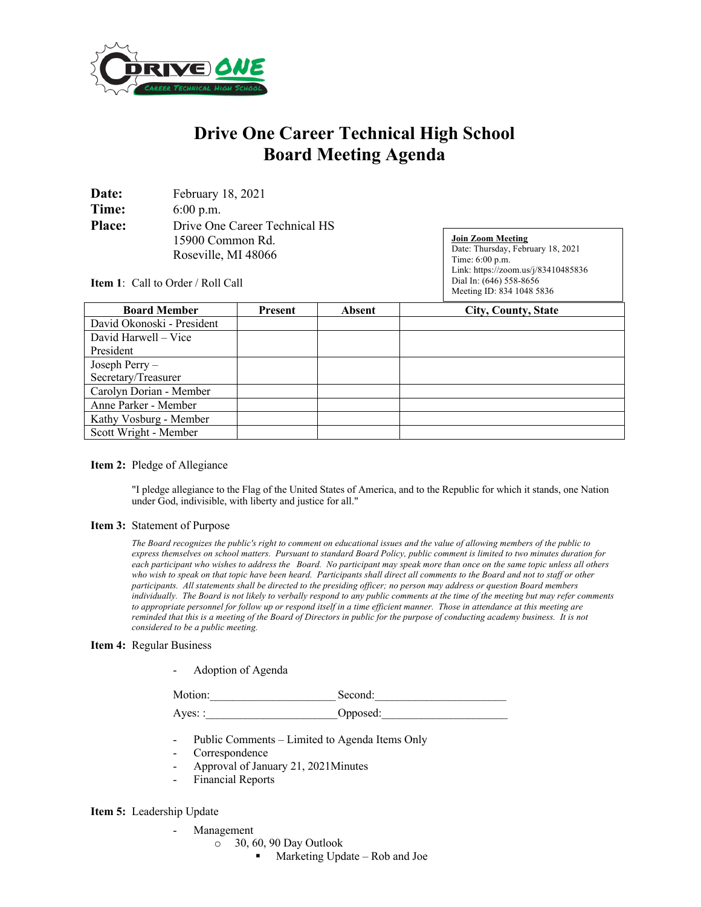

# **Drive One Career Technical High School Board Meeting Agenda**

| Date:         | February 18, 2021             |  |  |
|---------------|-------------------------------|--|--|
| Time:         | $6:00$ p.m.                   |  |  |
| <b>Place:</b> | Drive One Career Technical HS |  |  |
|               | 15900 Common Rd.              |  |  |
|               | Roseville, MI 48066           |  |  |

**Join Zoom Meeting** Date: Thursday, February 18, 2021 Time: 6:00 p.m. Link: https://zoom.us/j/83410485836 Dial In: (646) 558-8656 Meeting ID: 834 1048 5836

**Item 1**: Call to Order / Roll Call

| <b>Board Member</b>        | Present | Absent | <b>City, County, State</b> |
|----------------------------|---------|--------|----------------------------|
| David Okonoski - President |         |        |                            |
| David Harwell – Vice       |         |        |                            |
| President                  |         |        |                            |
| Joseph Perry -             |         |        |                            |
| Secretary/Treasurer        |         |        |                            |
| Carolyn Dorian - Member    |         |        |                            |
| Anne Parker - Member       |         |        |                            |
| Kathy Vosburg - Member     |         |        |                            |
| Scott Wright - Member      |         |        |                            |

## **Item 2:** Pledge of Allegiance

"I pledge allegiance to the Flag of the United States of America, and to the Republic for which it stands, one Nation under God, indivisible, with liberty and justice for all."

#### **Item 3:** Statement of Purpose

*The Board recognizes the public's right to comment on educational issues and the value of allowing members of the public to express themselves on school matters. Pursuant to standard Board Policy, public comment is limited to two minutes duration for each participant who wishes to address the Board. No participant may speak more than once on the same topic unless all others who wish to speak on that topic have been heard. Participants shall direct all comments to the Board and not to staff or other participants. All statements shall be directed to the presiding officer; no person may address or question Board members individually. The Board is not likely to verbally respond to any public comments at the time of the meeting but may refer comments to appropriate personnel for follow up or respond itself in a time efficient manner. Those in attendance at this meeting are reminded that this is a meeting of the Board of Directors in public for the purpose of conducting academy business. It is not considered to be a public meeting.*

#### **Item 4:** Regular Business

- Adoption of Agenda

Motion: Second:

Ayes: : 0pposed:

- Public Comments Limited to Agenda Items Only
- Correspondence
- Approval of January 21, 2021Minutes
- Financial Reports

### **Item 5:** Leadership Update

- **Management** 
	- o 30, 60, 90 Day Outlook
		- Marketing Update Rob and Joe